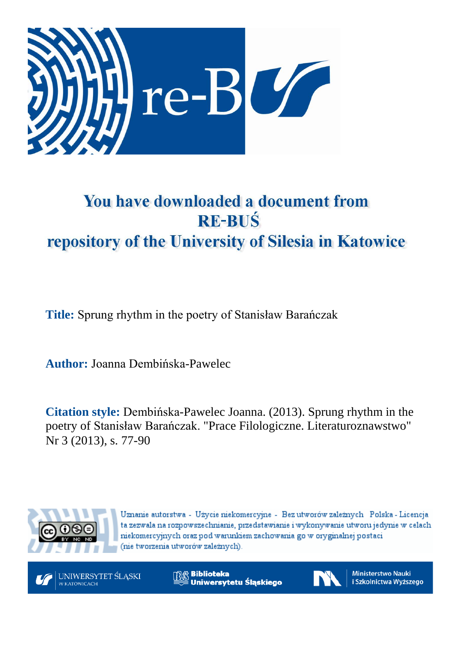

# You have downloaded a document from **RE-BUŚ** repository of the University of Silesia in Katowice

**Title:** Sprung rhythm in the poetry of Stanisław Barańczak

**Author:** Joanna Dembińska-Pawelec

**Citation style:** Dembińska-Pawelec Joanna. (2013). Sprung rhythm in the poetry of Stanisław Barańczak. "Prace Filologiczne. Literaturoznawstwo" Nr 3 (2013), s. 77-90



Uznanie autorstwa - Użycie niekomercyjne - Bez utworów zależnych Polska - Licencja ta zezwala na rozpowszechnianie, przedstawianie i wykonywanie utworu jedynie w celach niekomercyjnych oraz pod warunkiem zachowania go w oryginalnej postaci (nie tworzenia utworów zależnych).

UNIWERSYTET ŚLĄSKI W KATOWICACH

**Biblioteka** Uniwersytetu Śląskiego



**Ministerstwo Nauki** i Szkolnictwa Wyższego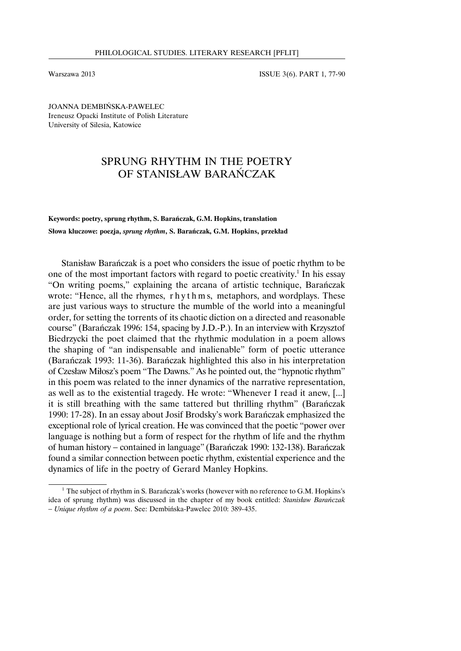Warszawa 2013 **ISSUE 3(6). PART 1, 77-90** 

JOANNA DEMBIŃSKA-PAWELEC Ireneusz Opacki Institute of Polish Literature University of Silesia, Katowice

# SPRUNG RHYTHM IN THE POETRY OF STANISŁAW BARAŃCZAK

**Keywords: poetry, sprung rhythm, S. Barańczak, G.M. Hopkins, translation Słowa kluczowe: poezja,** *sprung rhythm***, S. Barańczak, G.M. Hopkins, przekład**

Stanisław Barańczak is a poet who considers the issue of poetic rhythm to be one of the most important factors with regard to poetic creativity.<sup>1</sup> In his essay "On writing poems," explaining the arcana of artistic technique, Barańczak wrote: "Hence, all the rhymes, r h y t h m s, metaphors, and wordplays. These are just various ways to structure the mumble of the world into a meaningful order, for setting the torrents of its chaotic diction on a directed and reasonable course" (Barańczak 1996: 154, spacing by J.D.-P.). In an interview with Krzysztof Biedrzycki the poet claimed that the rhythmic modulation in a poem allows the shaping of "an indispensable and inalienable" form of poetic utterance (Barańczak 1993: 11-36). Barańczak highlighted this also in his interpretation of Czesław Miłosz's poem "The Dawns." As he pointed out, the "hypnotic rhythm" in this poem was related to the inner dynamics of the narrative representation, as well as to the existential tragedy. He wrote: "Whenever I read it anew, [...] it is still breathing with the same tattered but thrilling rhythm" (Barańczak 1990: 17-28). In an essay about Josif Brodsky's work Barańczak emphasized the exceptional role of lyrical creation. He was convinced that the poetic "power over language is nothing but a form of respect for the rhythm of life and the rhythm of human history − contained in language" (Barańczak 1990: 132-138). Barańczak found a similar connection between poetic rhythm, existential experience and the dynamics of life in the poetry of Gerard Manley Hopkins.

 $1$  The subject of rhythm in S. Barańczak's works (however with no reference to G.M. Hopkins's idea of sprung rhythm) was discussed in the chapter of my book entitled: *Stanisław Barańczak* − *Unique rhythm of a poem*. See: Dembińska-Pawelec 2010: 389-435.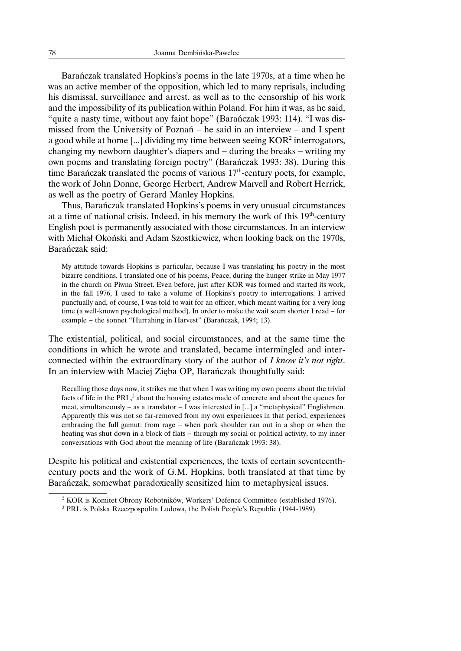Barańczak translated Hopkins's poems in the late 1970s, at a time when he was an active member of the opposition, which led to many reprisals, including his dismissal, surveillance and arrest, as well as to the censorship of his work and the impossibility of its publication within Poland. For him it was, as he said, "quite a nasty time, without any faint hope" (Barańczak 1993: 114). "I was dismissed from the University of Poznań − he said in an interview − and I spent a good while at home  $\left[\ldots\right]$  dividing my time between seeing  $KOR<sup>2</sup>$  interrogators, changing my newborn daughter's diapers and − during the breaks − writing my own poems and translating foreign poetry" (Barańczak 1993: 38). During this time Barańczak translated the poems of various 17<sup>th</sup>-century poets, for example, the work of John Donne, George Herbert, Andrew Marvell and Robert Herrick, as well as the poetry of Gerard Manley Hopkins.

Thus, Barańczak translated Hopkins's poems in very unusual circumstances at a time of national crisis. Indeed, in his memory the work of this  $19<sup>th</sup>$ -century English poet is permanently associated with those circumstances. In an interview with Michał Okoński and Adam Szostkiewicz, when looking back on the 1970s, Barańczak said:

My attitude towards Hopkins is particular, because I was translating his poetry in the most bizarre conditions. I translated one of his poems, Peace, during the hunger strike in May 1977 in the church on Piwna Street. Even before, just after KOR was formed and started its work, in the fall 1976, I used to take a volume of Hopkins's poetry to interrogations. I arrived punctually and, of course, I was told to wait for an officer, which meant waiting for a very long time (a well-known psychological method). In order to make the wait seem shorter I read − for example − the sonnet "Hurrahing in Harvest" (Barańczak, 1994; 13).

The existential, political, and social circumstances, and at the same time the conditions in which he wrote and translated, became intermingled and interconnected within the extraordinary story of the author of *I know it's not right*. In an interview with Maciej Zięba OP, Barańczak thoughtfully said:

Recalling those days now, it strikes me that when I was writing my own poems about the trivial facts of life in the PRL,<sup>3</sup> about the housing estates made of concrete and about the queues for meat, simultaneously − as a translator − I was interested in [...] a "metaphysical" Englishmen. Apparently this was not so far-removed from my own experiences in that period, experiences embracing the full gamut: from rage − when pork shoulder ran out in a shop or when the heating was shut down in a block of flats – through my social or political activity, to my inner conversations with God about the meaning of life (Barańczak 1993: 38).

Despite his political and existential experiences, the texts of certain seventeenthcentury poets and the work of G.M. Hopkins, both translated at that time by Barańczak, somewhat paradoxically sensitized him to metaphysical issues.

<sup>2</sup> KOR is Komitet Obrony Robotników, Workers' Defence Committee (established 1976).

<sup>&</sup>lt;sup>3</sup> PRL is Polska Rzeczpospolita Ludowa, the Polish People's Republic (1944-1989).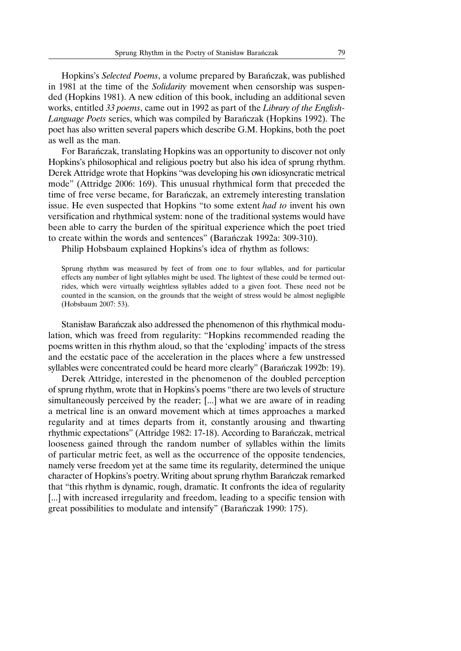Hopkins's *Selected Poems*, a volume prepared by Barańczak, was published in 1981 at the time of the *Solidarity* movement when censorship was suspended (Hopkins 1981). A new edition of this book, including an additional seven works, entitled *33 poems*, came out in 1992 as part of the *Library of the English-Language Poets* series, which was compiled by Barańczak (Hopkins 1992). The poet has also written several papers which describe G.M. Hopkins, both the poet as well as the man.

For Barańczak, translating Hopkins was an opportunity to discover not only Hopkins's philosophical and religious poetry but also his idea of sprung rhythm. Derek Attridge wrote that Hopkins "was developing his own idiosyncratic metrical mode" (Attridge 2006: 169). This unusual rhythmical form that preceded the time of free verse became, for Barańczak, an extremely interesting translation issue. He even suspected that Hopkins "to some extent *had to* invent his own versification and rhythmical system: none of the traditional systems would have been able to carry the burden of the spiritual experience which the poet tried to create within the words and sentences" (Barańczak 1992a: 309-310).

Philip Hobsbaum explained Hopkins's idea of rhythm as follows:

Sprung rhythm was measured by feet of from one to four syllables, and for particular effects any number of light syllables might be used. The lightest of these could be termed outrides, which were virtually weightless syllables added to a given foot. These need not be counted in the scansion, on the grounds that the weight of stress would be almost negligible (Hobsbaum 2007: 53).

Stanisław Barańczak also addressed the phenomenon of this rhythmical modulation, which was freed from regularity: "Hopkins recommended reading the poems written in this rhythm aloud, so that the 'exploding' impacts of the stress and the ecstatic pace of the acceleration in the places where a few unstressed syllables were concentrated could be heard more clearly" (Barańczak 1992b: 19).

Derek Attridge, interested in the phenomenon of the doubled perception of sprung rhythm, wrote that in Hopkins's poems "there are two levels of structure simultaneously perceived by the reader; [...] what we are aware of in reading a metrical line is an onward movement which at times approaches a marked regularity and at times departs from it, constantly arousing and thwarting rhythmic expectations" (Attridge 1982: 17-18). According to Barańczak, metrical looseness gained through the random number of syllables within the limits of particular metric feet, as well as the occurrence of the opposite tendencies, namely verse freedom yet at the same time its regularity, determined the unique character of Hopkins's poetry.Writing about sprung rhythm Barańczak remarked that "this rhythm is dynamic, rough, dramatic. It confronts the idea of regularity [...] with increased irregularity and freedom, leading to a specific tension with great possibilities to modulate and intensify" (Barańczak 1990: 175).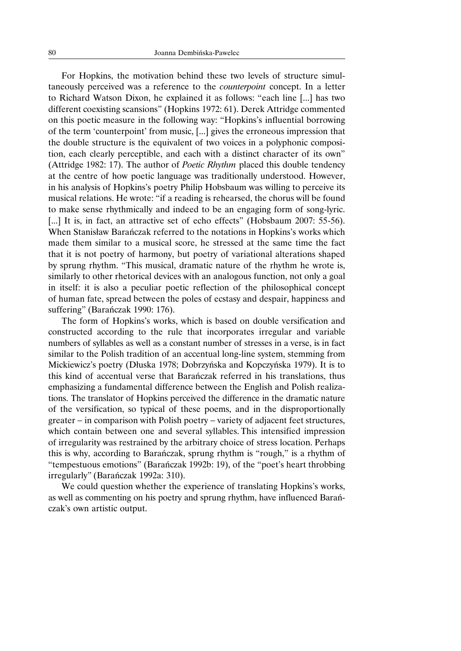For Hopkins, the motivation behind these two levels of structure simultaneously perceived was a reference to the *counterpoint* concept. In a letter to Richard Watson Dixon, he explained it as follows: "each line [...] has two different coexisting scansions" (Hopkins 1972: 61). Derek Attridge commented on this poetic measure in the following way: "Hopkins's influential borrowing of the term 'counterpoint' from music, [...] gives the erroneous impression that the double structure is the equivalent of two voices in a polyphonic composition, each clearly perceptible, and each with a distinct character of its own" (Attridge 1982: 17). The author of *Poetic Rhythm* placed this double tendency at the centre of how poetic language was traditionally understood. However, in his analysis of Hopkins's poetry Philip Hobsbaum was willing to perceive its musical relations. He wrote: "if a reading is rehearsed, the chorus will be found to make sense rhythmically and indeed to be an engaging form of song-lyric. [...] It is, in fact, an attractive set of echo effects" (Hobsbaum 2007: 55-56). When Stanisław Barańczak referred to the notations in Hopkins's works which made them similar to a musical score, he stressed at the same time the fact that it is not poetry of harmony, but poetry of variational alterations shaped by sprung rhythm. "This musical, dramatic nature of the rhythm he wrote is, similarly to other rhetorical devices with an analogous function, not only a goal in itself: it is also a peculiar poetic reflection of the philosophical concept of human fate, spread between the poles of ecstasy and despair, happiness and suffering" (Barańczak 1990: 176).

The form of Hopkins's works, which is based on double versification and constructed according to the rule that incorporates irregular and variable numbers of syllables as well as a constant number of stresses in a verse, is in fact similar to the Polish tradition of an accentual long-line system, stemming from Mickiewicz's poetry (Dłuska 1978; Dobrzyńska and Kopczyńska 1979). It is to this kind of accentual verse that Barańczak referred in his translations, thus emphasizing a fundamental difference between the English and Polish realizations. The translator of Hopkins perceived the difference in the dramatic nature of the versification, so typical of these poems, and in the disproportionally greater − in comparison with Polish poetry − variety of adjacent feet structures, which contain between one and several syllables. This intensified impression of irregularity was restrained by the arbitrary choice of stress location. Perhaps this is why, according to Barańczak, sprung rhythm is "rough," is a rhythm of "tempestuous emotions" (Barańczak 1992b: 19), of the "poet's heart throbbing irregularly" (Barańczak 1992a: 310).

We could question whether the experience of translating Hopkins's works, as well as commenting on his poetry and sprung rhythm, have influenced Barańczak's own artistic output.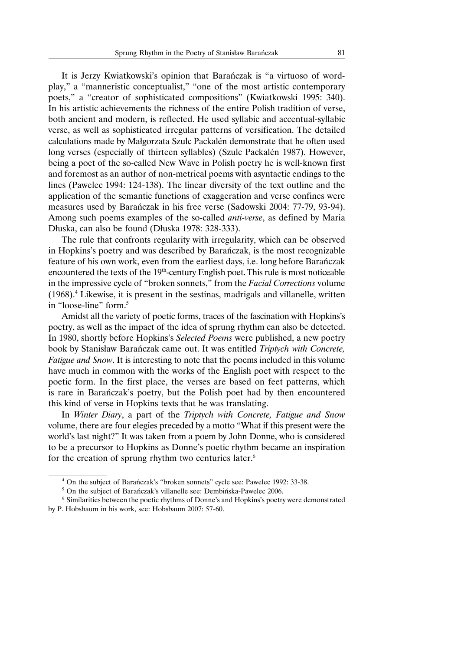It is Jerzy Kwiatkowski's opinion that Barańczak is "a virtuoso of wordplay," a "manneristic conceptualist," "one of the most artistic contemporary poets," a "creator of sophisticated compositions" (Kwiatkowski 1995: 340). In his artistic achievements the richness of the entire Polish tradition of verse, both ancient and modern, is reflected. He used syllabic and accentual-syllabic verse, as well as sophisticated irregular patterns of versification. The detailed calculations made by Małgorzata Szulc Packalén demonstrate that he often used long verses (especially of thirteen syllables) (Szulc Packalén 1987). However, being a poet of the so-called New Wave in Polish poetry he is well-known first and foremost as an author of non-metrical poems with asyntactic endings to the lines (Pawelec 1994: 124-138). The linear diversity of the text outline and the application of the semantic functions of exaggeration and verse confines were measures used by Barańczak in his free verse (Sadowski 2004: 77-79, 93-94). Among such poems examples of the so-called *anti-verse*, as defined by Maria Dłuska, can also be found (Dłuska 1978: 328-333).

The rule that confronts regularity with irregularity, which can be observed in Hopkins's poetry and was described by Barańczak, is the most recognizable feature of his own work, even from the earliest days, i.e. long before Barańczak encountered the texts of the 19<sup>th</sup>-century English poet. This rule is most noticeable in the impressive cycle of "broken sonnets," from the *Facial Corrections* volume (1968).4 Likewise, it is present in the sestinas, madrigals and villanelle, written in "loose-line" form.<sup>5</sup>

Amidst all the variety of poetic forms, traces of the fascination with Hopkins's poetry, as well as the impact of the idea of sprung rhythm can also be detected. In 1980, shortly before Hopkins's *Selected Poems* were published, a new poetry book by Stanisław Barańczak came out. It was entitled *Triptych with Concrete, Fatigue and Snow*. It is interesting to note that the poems included in this volume have much in common with the works of the English poet with respect to the poetic form. In the first place, the verses are based on feet patterns, which is rare in Barańczak's poetry, but the Polish poet had by then encountered this kind of verse in Hopkins texts that he was translating.

In *Winter Diary*, a part of the *Triptych with Concrete, Fatigue and Snow* volume, there are four elegies preceded by a motto "What if this present were the world's last night?" It was taken from a poem by John Donne, who is considered to be a precursor to Hopkins as Donne's poetic rhythm became an inspiration for the creation of sprung rhythm two centuries later.<sup>6</sup>

<sup>4</sup> On the subject of Barańczak's "broken sonnets" cycle see: Pawelec 1992: 33-38.

<sup>5</sup> On the subject of Barańczak's villanelle see: Dembińska-Pawelec 2006.

<sup>6</sup> Similarities between the poetic rhythms of Donne's and Hopkins's poetry were demonstrated by P. Hobsbaum in his work, see: Hobsbaum 2007: 57-60.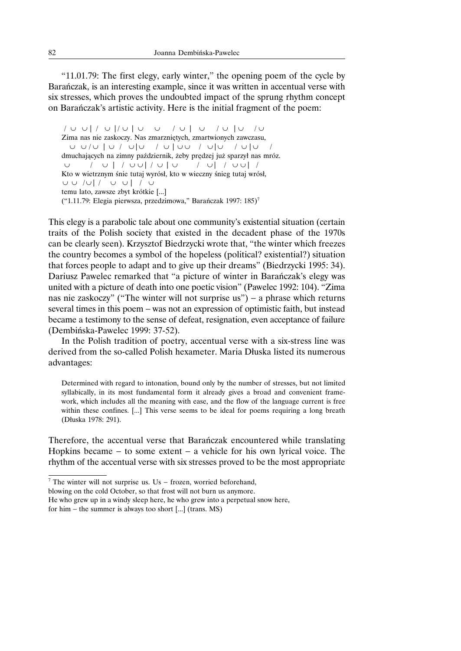"11.01.79: The first elegy, early winter," the opening poem of the cycle by Barańczak, is an interesting example, since it was written in accentual verse with six stresses, which proves the undoubted impact of the sprung rhythm concept on Barańczak's artistic activity. Here is the initial fragment of the poem:

/ ∪ ∪ | / ∪ |/ ∪ | ∪ ∪ / ∪ | ∪ / ∪ | ∪ / ∪ Zima nas nie zaskoczy. Nas zmarzniętych, zmartwionych zawczasu, ∪ ∪ / ∪ | ∪ / ∪|∪ / ∪ | ∪ ∪ / ∪|∪ / ∪ |∪ / dmuchających na zimny październik, żeby prędzej już sparzył nas mróz. ∪ / ∪ | / ∪ ∪| / ∪ | ∪ / ∪| / ∪ ∪| / Kto w wietrznym śnie tutaj wyrósł, kto w wieczny śnieg tutaj wrósł, ∪ ∪ / ∪| / ∪ ∪ | / ∪ temu lato, zawsze zbyt krótkie [...] ("1.11.79: Elegia pierwsza, przedzimowa," Barańczak 1997: 185)<sup>7</sup>

This elegy is a parabolic tale about one community's existential situation (certain traits of the Polish society that existed in the decadent phase of the 1970s can be clearly seen). Krzysztof Biedrzycki wrote that, "the winter which freezes the country becomes a symbol of the hopeless (political? existential?) situation that forces people to adapt and to give up their dreams" (Biedrzycki 1995: 34). Dariusz Pawelec remarked that "a picture of winter in Barańczak's elegy was united with a picture of death into one poetic vision" (Pawelec 1992: 104). "Zima nas nie zaskoczy" ("The winter will not surprise us") − a phrase which returns several times in this poem – was not an expression of optimistic faith, but instead became a testimony to the sense of defeat, resignation, even acceptance of failure (Dembińska-Pawelec 1999: 37-52).

In the Polish tradition of poetry, accentual verse with a six-stress line was derived from the so-called Polish hexameter. Maria Dłuska listed its numerous advantages:

Determined with regard to intonation, bound only by the number of stresses, but not limited syllabically, in its most fundamental form it already gives a broad and convenient framework, which includes all the meaning with ease, and the flow of the language current is free within these confines. [...] This verse seems to be ideal for poems requiring a long breath (Dłuska 1978: 291).

Therefore, the accentual verse that Barańczak encountered while translating Hopkins became − to some extent − a vehicle for his own lyrical voice. The rhythm of the accentual verse with six stresses proved to be the most appropriate

<sup>7</sup> The winter will not surprise us. Us − frozen, worried beforehand,

blowing on the cold October, so that frost will not burn us anymore.

He who grew up in a windy sleep here, he who grew into a perpetual snow here,

for him − the summer is always too short [...] (trans. MS)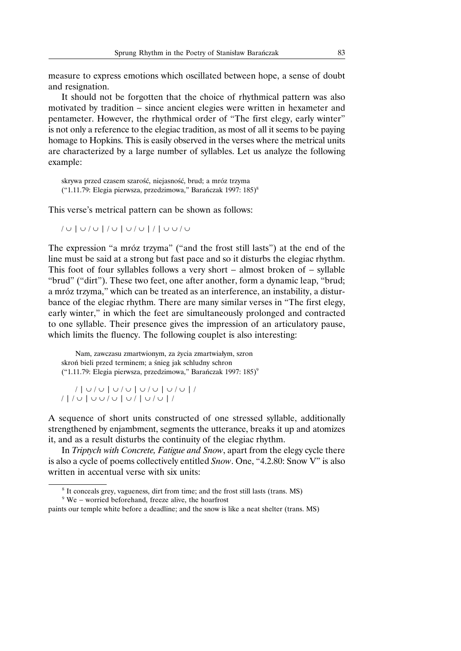measure to express emotions which oscillated between hope, a sense of doubt and resignation.

It should not be forgotten that the choice of rhythmical pattern was also motivated by tradition − since ancient elegies were written in hexameter and pentameter. However, the rhythmical order of "The first elegy, early winter" is not only a reference to the elegiac tradition, as most of all it seems to be paying homage to Hopkins. This is easily observed in the verses where the metrical units are characterized by a large number of syllables. Let us analyze the following example:

skrywa przed czasem szarość, niejasność, brud; a mróz trzyma ("1.11.79: Elegia pierwsza, przedzimowa," Barańczak 1997: 185)<sup>8</sup>

This verse's metrical pattern can be shown as follows:

```
/ ∪ | ∪ / ∪ | / ∪ | ∪ / ∪ |/| ∪ ∪ / ∪
```
The expression "a mróz trzyma" ("and the frost still lasts") at the end of the line must be said at a strong but fast pace and so it disturbs the elegiac rhythm. This foot of four syllables follows a very short − almost broken of − syllable "brud" ("dirt"). These two feet, one after another, form a dynamic leap, "brud; a mróz trzyma," which can be treated as an interference, an instability, a disturbance of the elegiac rhythm. There are many similar verses in "The first elegy, early winter," in which the feet are simultaneously prolonged and contracted to one syllable. Their presence gives the impression of an articulatory pause, which limits the fluency. The following couplet is also interesting:

Nam, zawczasu zmartwionym, za życia zmartwiałym, szron skroń bieli przed terminem; a śnieg jak schludny schron ("1.11.79: Elegia pierwsza, przedzimowa," Barańczak 1997: 185)<sup>9</sup>

/ | ∪ / ∪ | ∪ / ∪ | ∪ / ∪ | ∪ / ∪ | / /|/ ∪ | ∪ ∪ / ∪ | ∪ / | ∪ / ∪ | /

A sequence of short units constructed of one stressed syllable, additionally strengthened by enjambment, segments the utterance, breaks it up and atomizes it, and as a result disturbs the continuity of the elegiac rhythm.

In *Triptych with Concrete, Fatigue and Snow*, apart from the elegy cycle there is also a cycle of poems collectively entitled *Snow*. One, "4.2.80: Snow V" is also written in accentual verse with six units:

<sup>8</sup> It conceals grey, vagueness, dirt from time; and the frost still lasts (trans. MS)

<sup>9</sup> We − worried beforehand, freeze alive, the hoarfrost

paints our temple white before a deadline; and the snow is like a neat shelter (trans. MS)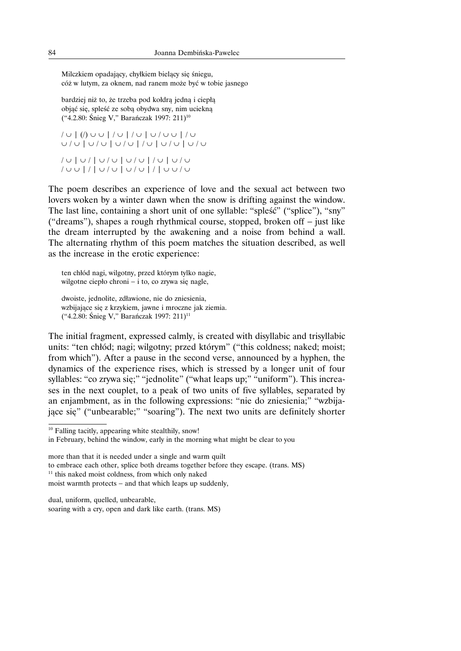Milczkiem opadający, chyłkiem bielący się śniegu, cóż w lutym, za oknem, nad ranem może być w tobie jasnego

bardziej niż to, że trzeba pod kołdrą jedną i ciepłą objąć się, spleść ze sobą obydwa sny, nim uciekną ("4.2.80: Śnieg V," Barańczak 1997: 211)<sup>10</sup>

/ ∪ | (/) ∪ ∪ | / ∪ | / ∪ | ∪ / ∪ ∪ | / ∪ ∪ / ∪ | ∪ / ∪ | ∪ / ∪ | / ∪ | ∪ / ∪ | ∪ / ∪ / ∪ | ∪ / | ∪ / ∪ | ∪ / ∪ | / ∪ | ∪ / ∪ / ∪ ∪ |/| ∪ / ∪ | ∪ / ∪ |/| ∪ ∪ / ∪

The poem describes an experience of love and the sexual act between two lovers woken by a winter dawn when the snow is drifting against the window. The last line, containing a short unit of one syllable: "spleść" ("splice"), "sny" ("dreams"), shapes a rough rhythmical course, stopped, broken off − just like the dream interrupted by the awakening and a noise from behind a wall. The alternating rhythm of this poem matches the situation described, as well as the increase in the erotic experience:

ten chłód nagi, wilgotny, przed którym tylko nagie, wilgotne ciepło chroni − i to, co zrywa się nagle,

dwoiste, jednolite, zdławione, nie do zniesienia, wzbijające się z krzykiem, jawne i mroczne jak ziemia. ("4.2.80: Śnieg V," Barańczak 1997: 211)11

The initial fragment, expressed calmly, is created with disyllabic and trisyllabic units: "ten chłód; nagi; wilgotny; przed którym" ("this coldness; naked; moist; from which"). After a pause in the second verse, announced by a hyphen, the dynamics of the experience rises, which is stressed by a longer unit of four syllables: "co zrywa się;" "jednolite" ("what leaps up;" "uniform"). This increases in the next couplet, to a peak of two units of five syllables, separated by an enjambment, as in the following expressions: "nie do zniesienia;" "wzbijające się" ("unbearable;" "soaring"). The next two units are definitely shorter

more than that it is needed under a single and warm quilt to embrace each other, splice both dreams together before they escape. (trans. MS)  $11$  this naked moist coldness, from which only naked

<sup>&</sup>lt;sup>10</sup> Falling tacitly, appearing white stealthily, snow!

in February, behind the window, early in the morning what might be clear to you

moist warmth protects – and that which leaps up suddenly,

dual, uniform, quelled, unbearable, soaring with a cry, open and dark like earth. (trans. MS)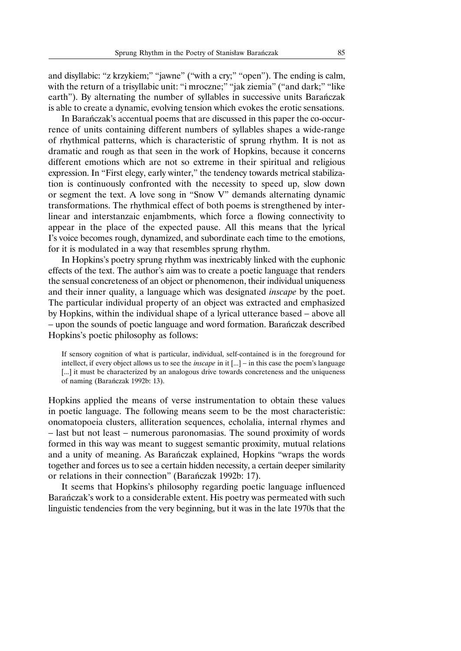and disyllabic: "z krzykiem;" "jawne" ("with a cry;" "open"). The ending is calm, with the return of a trisyllabic unit: "i mroczne;" "jak ziemia" ("and dark;" "like earth"). By alternating the number of syllables in successive units Barańczak is able to create a dynamic, evolving tension which evokes the erotic sensations.

In Barańczak's accentual poems that are discussed in this paper the co-occurrence of units containing different numbers of syllables shapes a wide-range of rhythmical patterns, which is characteristic of sprung rhythm. It is not as dramatic and rough as that seen in the work of Hopkins, because it concerns different emotions which are not so extreme in their spiritual and religious expression. In "First elegy, early winter," the tendency towards metrical stabilization is continuously confronted with the necessity to speed up, slow down or segment the text. A love song in "Snow V" demands alternating dynamic transformations. The rhythmical effect of both poems is strengthened by interlinear and interstanzaic enjambments, which force a flowing connectivity to appear in the place of the expected pause. All this means that the lyrical I's voice becomes rough, dynamized, and subordinate each time to the emotions, for it is modulated in a way that resembles sprung rhythm.

In Hopkins's poetry sprung rhythm was inextricably linked with the euphonic effects of the text. The author's aim was to create a poetic language that renders the sensual concreteness of an object or phenomenon, their individual uniqueness and their inner quality, a language which was designated *inscape* by the poet. The particular individual property of an object was extracted and emphasized by Hopkins, within the individual shape of a lyrical utterance based − above all − upon the sounds of poetic language and word formation. Barańczak described Hopkins's poetic philosophy as follows:

If sensory cognition of what is particular, individual, self-contained is in the foreground for intellect, if every object allows us to see the *inscape* in it [...] − in this case the poem's language [...] it must be characterized by an analogous drive towards concreteness and the uniqueness of naming (Barańczak 1992b: 13).

Hopkins applied the means of verse instrumentation to obtain these values in poetic language. The following means seem to be the most characteristic: onomatopoeia clusters, alliteration sequences, echolalia, internal rhymes and − last but not least − numerous paronomasias. The sound proximity of words formed in this way was meant to suggest semantic proximity, mutual relations and a unity of meaning. As Barańczak explained, Hopkins "wraps the words together and forces us to see a certain hidden necessity, a certain deeper similarity or relations in their connection" (Barańczak 1992b: 17).

It seems that Hopkins's philosophy regarding poetic language influenced Barańczak's work to a considerable extent. His poetry was permeated with such linguistic tendencies from the very beginning, but it was in the late 1970s that the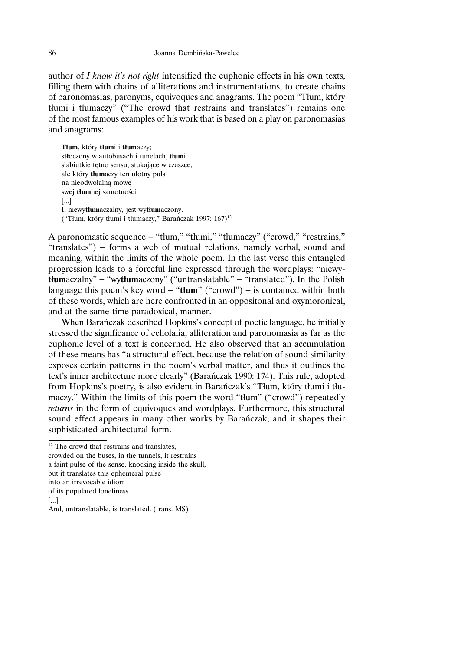author of *I know it's not right* intensified the euphonic effects in his own texts, filling them with chains of alliterations and instrumentations, to create chains of paronomasias, paronyms, equivoques and anagrams. The poem "Tłum, który tłumi i tłumaczy" ("The crowd that restrains and translates") remains one of the most famous examples of his work that is based on a play on paronomasias and anagrams:

**Tłum**, który **tłum**i i **tłum**aczy; s**tł**oczony w autobusach i tunelach, **tłum**i słabiutkie tętno sensu, stukające w czaszce, ale który **tłum**aczy ten ulotny puls na nieodwołalną mowę swej **tłum**nej samotności; [...] I, niewy**tłum**aczalny, jest wy**tłum**aczony. ("Tłum, który tłumi i tłumaczy," Barańczak 1997: 167)<sup>12</sup>

A paronomastic sequence − "tłum," "tłumi," "tłumaczy" ("crowd," "restrains," "translates") − forms a web of mutual relations, namely verbal, sound and meaning, within the limits of the whole poem. In the last verse this entangled progression leads to a forceful line expressed through the wordplays: "niewy**tłum**aczalny" − "wy**tłum**aczony" ("untranslatable" − "translated"). In the Polish language this poem's key word − "**tłum**" ("crowd") − is contained within both of these words, which are here confronted in an oppositonal and oxymoronical, and at the same time paradoxical, manner.

When Barańczak described Hopkins's concept of poetic language, he initially stressed the significance of echolalia, alliteration and paronomasia as far as the euphonic level of a text is concerned. He also observed that an accumulation of these means has "a structural effect, because the relation of sound similarity exposes certain patterns in the poem's verbal matter, and thus it outlines the text's inner architecture more clearly" (Barańczak 1990: 174). This rule, adopted from Hopkins's poetry, is also evident in Barańczak's "Tłum, który tłumi i tłumaczy." Within the limits of this poem the word "tłum" ("crowd") repeatedly *returns* in the form of equivoques and wordplays. Furthermore, this structural sound effect appears in many other works by Barańczak, and it shapes their sophisticated architectural form.

crowded on the buses, in the tunnels, it restrains

a faint pulse of the sense, knocking inside the skull,

but it translates this ephemeral pulse

into an irrevocable idiom

[...]

<sup>&</sup>lt;sup>12</sup> The crowd that restrains and translates,

of its populated loneliness

And, untranslatable, is translated. (trans. MS)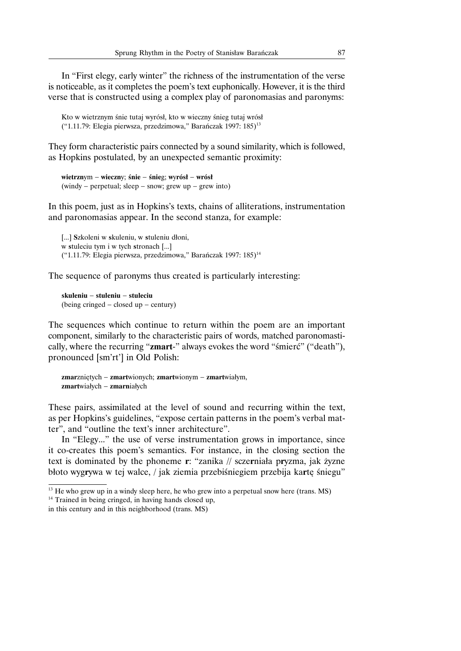In "First elegy, early winter" the richness of the instrumentation of the verse is noticeable, as it completes the poem's text euphonically. However, it is the third verse that is constructed using a complex play of paronomasias and paronyms:

Kto w wietrznym śnie tutaj wyrósł, kto w wieczny śnieg tutaj wrósł ("1.11.79: Elegia pierwsza, przedzimowa," Barańczak 1997: 185)<sup>13</sup>

They form characteristic pairs connected by a sound similarity, which is followed, as Hopkins postulated, by an unexpected semantic proximity:

**wietrzn**ym − **wieczn**y; **śnie** − **śnie**g; **w**y**rósł** − **wrósł** (windy − perpetual; sleep − snow; grew up − grew into)

In this poem, just as in Hopkins's texts, chains of alliterations, instrumentation and paronomasias appear. In the second stanza, for example:

[...] **S**zkoleni w **s**kuleniu, w **s**tuleniu dłoni, w **s**tuleciu tym i w tych **s**tronach [...] ("1.11.79: Elegia pierwsza, przedzimowa," Barańczak 1997: 185)<sup>14</sup>

The sequence of paronyms thus created is particularly interesting:

**skuleniu** − **stuleniu** − **stuleciu** (being cringed − closed up − century)

The sequences which continue to return within the poem are an important component, similarly to the characteristic pairs of words, matched paronomastically, where the recurring "**zmart**-" always evokes the word "śmierć" ("death"), pronounced [sm'rt'] in Old Polish:

```
zmarzniętych − zmartwionych; zmartwionym − zmartwiałym,
zmartwiałych − zmarniałych
```
These pairs, assimilated at the level of sound and recurring within the text, as per Hopkins's guidelines, "expose certain patterns in the poem's verbal matter", and "outline the text's inner architecture".

In "Elegy..." the use of verse instrumentation grows in importance, since it co-creates this poem's semantics. For instance, in the closing section the text is dominated by the phoneme **r**: "zanika // scze**r**niała p**r**yzma, jak żyzne błoto wyg**r**ywa w tej walce, / jak ziemia przebiśniegiem przebija ka**r**tę śniegu"

<sup>&</sup>lt;sup>13</sup> He who grew up in a windy sleep here, he who grew into a perpetual snow here (trans. MS)

<sup>&</sup>lt;sup>14</sup> Trained in being cringed, in having hands closed up,

in this century and in this neighborhood (trans. MS)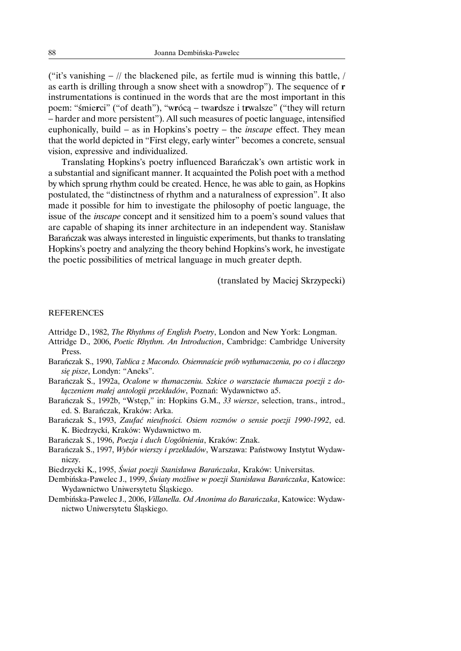("it's vanishing − // the blackened pile, as fertile mud is winning this battle, / as earth is drilling through a snow sheet with a snowdrop"). The sequence of **r** instrumentations is continued in the words that are the most important in this poem: "śmie**r**ci" ("of death"), "w**r**ócą − twa**r**dsze i t**r**walsze" ("they will return − harder and more persistent"). All such measures of poetic language, intensified euphonically, build − as in Hopkins's poetry − the *inscape* effect. They mean that the world depicted in "First elegy, early winter" becomes a concrete, sensual vision, expressive and individualized.

Translating Hopkins's poetry influenced Barańczak's own artistic work in a substantial and significant manner. It acquainted the Polish poet with a method by which sprung rhythm could be created. Hence, he was able to gain, as Hopkins postulated, the "distinctness of rhythm and a naturalness of expression". It also made it possible for him to investigate the philosophy of poetic language, the issue of the *inscape* concept and it sensitized him to a poem's sound values that are capable of shaping its inner architecture in an independent way. Stanisław Barańczak was always interested in linguistic experiments, but thanks to translating Hopkins's poetry and analyzing the theory behind Hopkins's work, he investigate the poetic possibilities of metrical language in much greater depth.

(translated by Maciej Skrzypecki)

### **REFERENCES**

Attridge D., 1982, *The Rhythms of English Poetry*, London and New York: Longman.

- Attridge D., 2006, *Poetic Rhythm. An Introduction*, Cambridge: Cambridge University Press.
- Barańczak S., 1990, *Tablica z Macondo. Osiemnaście prób wytłumaczenia, po co i dlaczego się pisze*, Londyn: "Aneks".
- Barańczak S., 1992a, *Ocalone w tłumaczeniu. Szkice o warsztacie tłumacza poezji z dołączeniem małej antologii przekładów*, Poznań: Wydawnictwo a5.
- Barańczak S., 1992b, "Wstęp," in: Hopkins G.M., *33 wiersze*, selection, trans., introd., ed. S. Barańczak, Kraków: Arka.
- Barańczak S., 1993, *Zaufać nieufności. Osiem rozmów o sensie poezji 1990-1992*, ed. K. Biedrzycki, Kraków: Wydawnictwo m.
- Barańczak S., 1996, *Poezja i duch Uogólnienia*, Kraków: Znak.
- Barańczak S., 1997, *Wybór wierszy i przekładów*, Warszawa: Państwowy Instytut Wydawniczy.
- Biedrzycki K., 1995, *Świat poezji Stanisława Barańczaka*, Kraków: Universitas.
- Dembińska-Pawelec J., 1999, *Światy możliwe w poezji Stanisława Barańczaka*, Katowice: Wydawnictwo Uniwersytetu Śląskiego.
- Dembińska-Pawelec J., 2006, *Villanella. Od Anonima do Barańczaka*, Katowice: Wydawnictwo Uniwersytetu Śląskiego.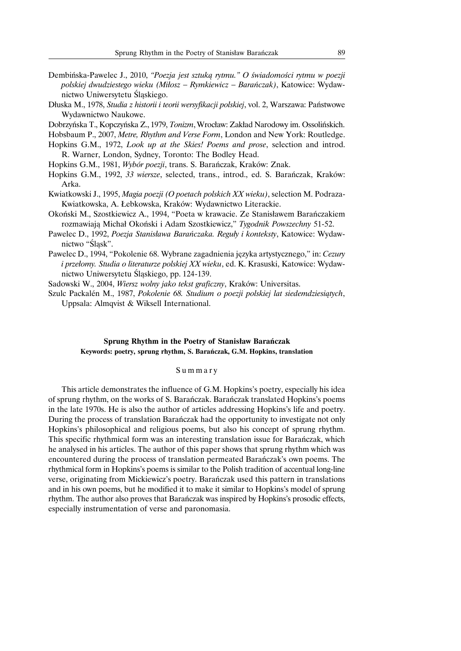- Dembińska-Pawelec J., 2010, *"Poezja jest sztuką rytmu." O świadomości rytmu w poezji polskiej dwudziestego wieku (Miłosz* − *Rymkiewicz* − *Barańczak)*, Katowice: Wydawnictwo Uniwersytetu Śląskiego.
- Dłuska M., 1978, *Studia z historii i teorii wersyfikacji polskiej*, vol. 2, Warszawa: Państwowe Wydawnictwo Naukowe.

Dobrzyńska T., Kopczyńska Z., 1979, *Tonizm*,Wrocław: Zakład Narodowy im. Ossolińskich.

- Hobsbaum P., 2007, *Metre, Rhythm and Verse Form*, London and New York: Routledge.
- Hopkins G.M., 1972, *Look up at the Skies! Poems and prose*, selection and introd. R. Warner, London, Sydney, Toronto: The Bodley Head.
- Hopkins G.M., 1981, *Wybór poezji*, trans. S. Barańczak, Kraków: Znak.
- Hopkins G.M., 1992, *33 wiersze*, selected, trans., introd., ed. S. Barańczak, Kraków: Arka.
- Kwiatkowski J., 1995, *Magia poezji (O poetach polskich XX wieku)*, selection M. Podraza-Kwiatkowska, A. Łebkowska, Kraków: Wydawnictwo Literackie.
- Okoński M., Szostkiewicz A., 1994, "Poeta w krawacie. Ze Stanisławem Barańczakiem rozmawiają Michał Okoński i Adam Szostkiewicz," *Tygodnik Powszechny* 51-52.
- Pawelec D., 1992, *Poezja Stanisława Barańczaka. Reguły i konteksty*, Katowice: Wydawnictwo "Śląsk".
- Pawelec D., 1994, "Pokolenie 68. Wybrane zagadnienia języka artystycznego," in: *Cezury i przełomy. Studia o literaturze polskiej XX wieku*, ed. K. Krasuski, Katowice: Wydawnictwo Uniwersytetu Śląskiego, pp. 124-139.

Sadowski W., 2004, *Wiersz wolny jako tekst graficzny*, Kraków: Universitas.

Szulc Packale´n M., 1987, *Pokolenie 68. Studium o poezji polskiej lat siedemdziesiątych*, Uppsala: Almqvist & Wiksell International.

# **Sprung Rhythm in the Poetry of Stanisław Barańczak Keywords: poetry, sprung rhythm, S. Barańczak, G.M. Hopkins, translation**

#### Summary

This article demonstrates the influence of G.M. Hopkins's poetry, especially his idea of sprung rhythm, on the works of S. Barańczak. Barańczak translated Hopkins's poems in the late 1970s. He is also the author of articles addressing Hopkins's life and poetry. During the process of translation Barańczak had the opportunity to investigate not only Hopkins's philosophical and religious poems, but also his concept of sprung rhythm. This specific rhythmical form was an interesting translation issue for Barańczak, which he analysed in his articles. The author of this paper shows that sprung rhythm which was encountered during the process of translation permeated Barańczak's own poems. The rhythmical form in Hopkins's poems is similar to the Polish tradition of accentual long-line verse, originating from Mickiewicz's poetry. Barańczak used this pattern in translations and in his own poems, but he modified it to make it similar to Hopkins's model of sprung rhythm. The author also proves that Barańczak was inspired by Hopkins's prosodic effects, especially instrumentation of verse and paronomasia.